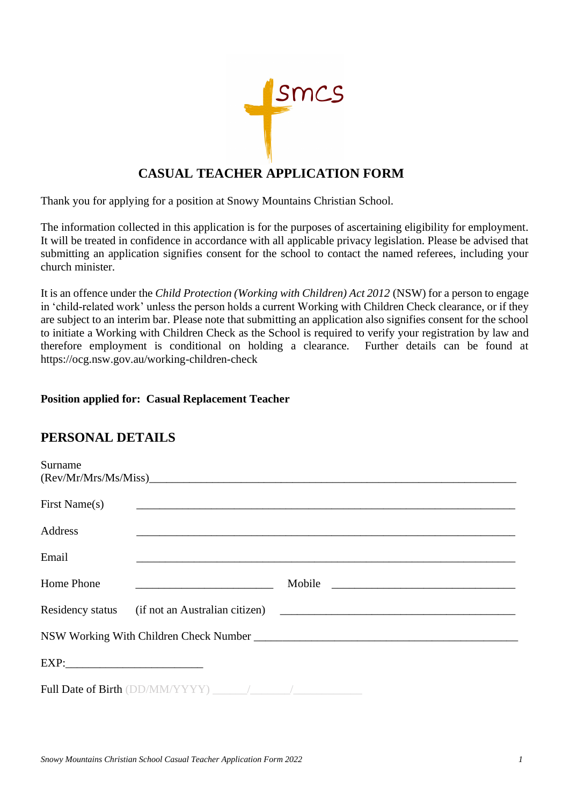

# **CASUAL TEACHER APPLICATION FORM**

Thank you for applying for a position at Snowy Mountains Christian School.

The information collected in this application is for the purposes of ascertaining eligibility for employment. It will be treated in confidence in accordance with all applicable privacy legislation. Please be advised that submitting an application signifies consent for the school to contact the named referees, including your church minister.

It is an offence under the *Child Protection (Working with Children) Act 2012* (NSW) for a person to engage in 'child-related work' unless the person holds a current Working with Children Check clearance, or if they are subject to an interim bar. Please note that submitting an application also signifies consent for the school to initiate a Working with Children Check as the School is required to verify your registration by law and therefore employment is conditional on holding a clearance. Further details can be found at https://ocg.nsw.gov.au/working-children-check

## **Position applied for: Casual Replacement Teacher**

# **PERSONAL DETAILS**

| Surname       |                                                     |                                                                                                                                |  |  |  |  |
|---------------|-----------------------------------------------------|--------------------------------------------------------------------------------------------------------------------------------|--|--|--|--|
| First Name(s) |                                                     |                                                                                                                                |  |  |  |  |
| Address       |                                                     |                                                                                                                                |  |  |  |  |
| Email         |                                                     |                                                                                                                                |  |  |  |  |
| Home Phone    | <u> 1989 - Johann Barn, fransk politik forhat (</u> | Mobile<br><u> 1980 - Jan James James Barbara, martxa a shekara 1980 - 1981 - 1982 - 1983 - 1984 - 1986 - 1986 - 1986 - 198</u> |  |  |  |  |
|               |                                                     | Residency status (if not an Australian citizen) ________________________________                                               |  |  |  |  |
|               |                                                     |                                                                                                                                |  |  |  |  |
| EXP:          |                                                     |                                                                                                                                |  |  |  |  |
|               |                                                     |                                                                                                                                |  |  |  |  |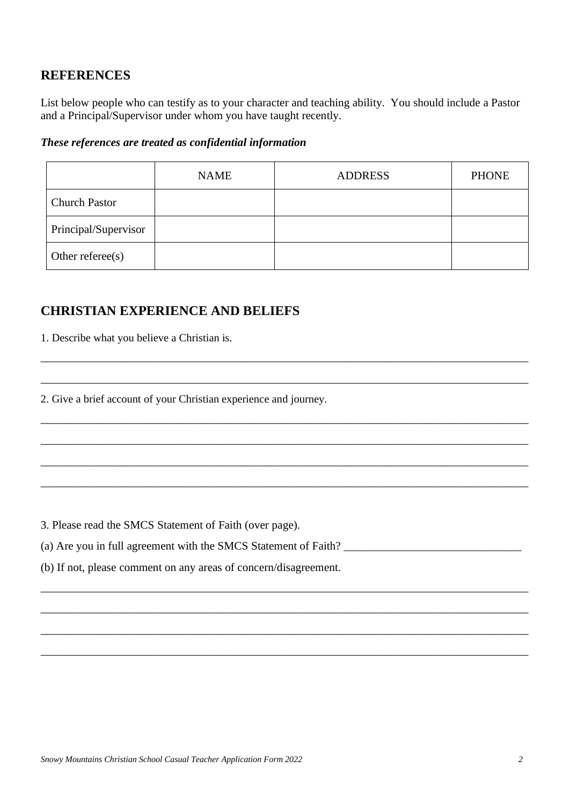## **REFERENCES**

List below people who can testify as to your character and teaching ability. You should include a Pastor and a Principal/Supervisor under whom you have taught recently.

### *These references are treated as confidential information*

|                      | <b>NAME</b> | <b>ADDRESS</b> | <b>PHONE</b> |
|----------------------|-------------|----------------|--------------|
| <b>Church Pastor</b> |             |                |              |
| Principal/Supervisor |             |                |              |
| Other referee(s)     |             |                |              |

\_\_\_\_\_\_\_\_\_\_\_\_\_\_\_\_\_\_\_\_\_\_\_\_\_\_\_\_\_\_\_\_\_\_\_\_\_\_\_\_\_\_\_\_\_\_\_\_\_\_\_\_\_\_\_\_\_\_\_\_\_\_\_\_\_\_\_\_\_\_\_\_\_\_\_\_\_\_\_\_\_\_\_\_\_

\_\_\_\_\_\_\_\_\_\_\_\_\_\_\_\_\_\_\_\_\_\_\_\_\_\_\_\_\_\_\_\_\_\_\_\_\_\_\_\_\_\_\_\_\_\_\_\_\_\_\_\_\_\_\_\_\_\_\_\_\_\_\_\_\_\_\_\_\_\_\_\_\_\_\_\_\_\_\_\_\_\_\_\_\_

\_\_\_\_\_\_\_\_\_\_\_\_\_\_\_\_\_\_\_\_\_\_\_\_\_\_\_\_\_\_\_\_\_\_\_\_\_\_\_\_\_\_\_\_\_\_\_\_\_\_\_\_\_\_\_\_\_\_\_\_\_\_\_\_\_\_\_\_\_\_\_\_\_\_\_\_\_\_\_\_\_\_\_\_\_

\_\_\_\_\_\_\_\_\_\_\_\_\_\_\_\_\_\_\_\_\_\_\_\_\_\_\_\_\_\_\_\_\_\_\_\_\_\_\_\_\_\_\_\_\_\_\_\_\_\_\_\_\_\_\_\_\_\_\_\_\_\_\_\_\_\_\_\_\_\_\_\_\_\_\_\_\_\_\_\_\_\_\_\_\_

\_\_\_\_\_\_\_\_\_\_\_\_\_\_\_\_\_\_\_\_\_\_\_\_\_\_\_\_\_\_\_\_\_\_\_\_\_\_\_\_\_\_\_\_\_\_\_\_\_\_\_\_\_\_\_\_\_\_\_\_\_\_\_\_\_\_\_\_\_\_\_\_\_\_\_\_\_\_\_\_\_\_\_\_\_

\_\_\_\_\_\_\_\_\_\_\_\_\_\_\_\_\_\_\_\_\_\_\_\_\_\_\_\_\_\_\_\_\_\_\_\_\_\_\_\_\_\_\_\_\_\_\_\_\_\_\_\_\_\_\_\_\_\_\_\_\_\_\_\_\_\_\_\_\_\_\_\_\_\_\_\_\_\_\_\_\_\_\_\_\_

\_\_\_\_\_\_\_\_\_\_\_\_\_\_\_\_\_\_\_\_\_\_\_\_\_\_\_\_\_\_\_\_\_\_\_\_\_\_\_\_\_\_\_\_\_\_\_\_\_\_\_\_\_\_\_\_\_\_\_\_\_\_\_\_\_\_\_\_\_\_\_\_\_\_\_\_\_\_\_\_\_\_\_\_\_

\_\_\_\_\_\_\_\_\_\_\_\_\_\_\_\_\_\_\_\_\_\_\_\_\_\_\_\_\_\_\_\_\_\_\_\_\_\_\_\_\_\_\_\_\_\_\_\_\_\_\_\_\_\_\_\_\_\_\_\_\_\_\_\_\_\_\_\_\_\_\_\_\_\_\_\_\_\_\_\_\_\_\_\_\_

\_\_\_\_\_\_\_\_\_\_\_\_\_\_\_\_\_\_\_\_\_\_\_\_\_\_\_\_\_\_\_\_\_\_\_\_\_\_\_\_\_\_\_\_\_\_\_\_\_\_\_\_\_\_\_\_\_\_\_\_\_\_\_\_\_\_\_\_\_\_\_\_\_\_\_\_\_\_\_\_\_\_\_\_\_

\_\_\_\_\_\_\_\_\_\_\_\_\_\_\_\_\_\_\_\_\_\_\_\_\_\_\_\_\_\_\_\_\_\_\_\_\_\_\_\_\_\_\_\_\_\_\_\_\_\_\_\_\_\_\_\_\_\_\_\_\_\_\_\_\_\_\_\_\_\_\_\_\_\_\_\_\_\_\_\_\_\_\_\_\_

# **CHRISTIAN EXPERIENCE AND BELIEFS**

1. Describe what you believe a Christian is.

2. Give a brief account of your Christian experience and journey.

3. Please read the SMCS Statement of Faith (over page).

(a) Are you in full agreement with the SMCS Statement of Faith? \_\_\_\_\_\_\_\_\_\_\_\_\_\_\_\_\_\_\_\_\_\_\_\_\_\_\_\_\_\_\_

(b) If not, please comment on any areas of concern/disagreement.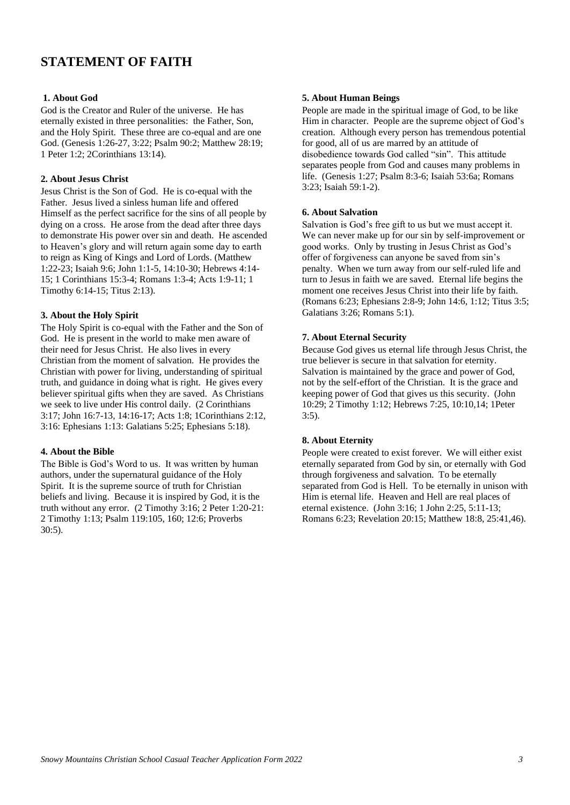## **STATEMENT OF FAITH**

#### **1. About God**

God is the Creator and Ruler of the universe. He has eternally existed in three personalities: the Father, Son, and the Holy Spirit. These three are co-equal and are one God. (Genesis 1:26-27, 3:22; Psalm 90:2; Matthew 28:19; 1 Peter 1:2; 2Corinthians 13:14).

#### **2. About Jesus Christ**

Jesus Christ is the Son of God. He is co-equal with the Father. Jesus lived a sinless human life and offered Himself as the perfect sacrifice for the sins of all people by dying on a cross. He arose from the dead after three days to demonstrate His power over sin and death. He ascended to Heaven's glory and will return again some day to earth to reign as King of Kings and Lord of Lords. (Matthew 1:22-23; Isaiah 9:6; John 1:1-5, 14:10-30; Hebrews 4:14- 15; 1 Corinthians 15:3-4; Romans 1:3-4; Acts 1:9-11; 1 Timothy 6:14-15; Titus 2:13).

#### **3. About the Holy Spirit**

The Holy Spirit is co-equal with the Father and the Son of God. He is present in the world to make men aware of their need for Jesus Christ. He also lives in every Christian from the moment of salvation. He provides the Christian with power for living, understanding of spiritual truth, and guidance in doing what is right. He gives every believer spiritual gifts when they are saved. As Christians we seek to live under His control daily. (2 Corinthians 3:17; John 16:7-13, 14:16-17; Acts 1:8; 1Corinthians 2:12, 3:16: Ephesians 1:13: Galatians 5:25; Ephesians 5:18).

#### **4. About the Bible**

The Bible is God's Word to us. It was written by human authors, under the supernatural guidance of the Holy Spirit. It is the supreme source of truth for Christian beliefs and living. Because it is inspired by God, it is the truth without any error. (2 Timothy 3:16; 2 Peter 1:20-21: 2 Timothy 1:13; Psalm 119:105, 160; 12:6; Proverbs 30:5).

#### **5. About Human Beings**

People are made in the spiritual image of God, to be like Him in character. People are the supreme object of God's creation. Although every person has tremendous potential for good, all of us are marred by an attitude of disobedience towards God called "sin". This attitude separates people from God and causes many problems in life. (Genesis 1:27; Psalm 8:3-6; Isaiah 53:6a; Romans 3:23; Isaiah 59:1-2).

#### **6. About Salvation**

Salvation is God's free gift to us but we must accept it. We can never make up for our sin by self-improvement or good works. Only by trusting in Jesus Christ as God's offer of forgiveness can anyone be saved from sin's penalty. When we turn away from our self-ruled life and turn to Jesus in faith we are saved. Eternal life begins the moment one receives Jesus Christ into their life by faith. (Romans 6:23; Ephesians 2:8-9; John 14:6, 1:12; Titus 3:5; Galatians 3:26; Romans 5:1).

#### **7. About Eternal Security**

Because God gives us eternal life through Jesus Christ, the true believer is secure in that salvation for eternity. Salvation is maintained by the grace and power of God, not by the self-effort of the Christian. It is the grace and keeping power of God that gives us this security. (John 10:29; 2 Timothy 1:12; Hebrews 7:25, 10:10,14; 1Peter 3:5).

#### **8. About Eternity**

People were created to exist forever. We will either exist eternally separated from God by sin, or eternally with God through forgiveness and salvation. To be eternally separated from God is Hell. To be eternally in unison with Him is eternal life. Heaven and Hell are real places of eternal existence. (John 3:16; 1 John 2:25, 5:11-13; Romans 6:23; Revelation 20:15; Matthew 18:8, 25:41,46).